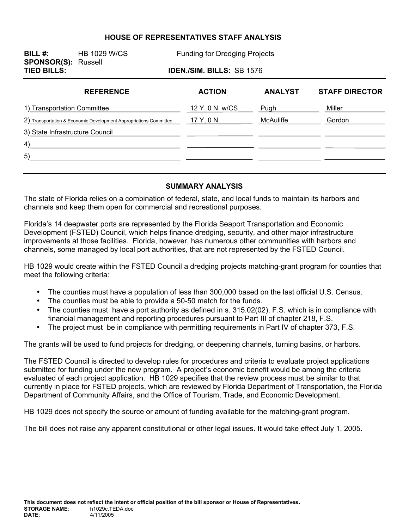#### **HOUSE OF REPRESENTATIVES STAFF ANALYSIS**

**BILL #:** HB 1029 W/CS Funding for Dredging Projects **SPONSOR(S):** Russell **TIED BILLS: IDEN./SIM. BILLS:** SB 1576 **REFERENCE ACTION ANALYST STAFF DIRECTOR**  1) Transportation Committee **12 Y, 0 N, w/CS** Pugh Pugh Miller Miller 2) Transportation & Economic Development Appropriations Committee 17 Y, 0 N MCAuliffe Gordon  $\overline{\phantom{a}}$  . The contract of  $\overline{\phantom{a}}$ 3) State Infrastructure Council  $\mathcal{L}^{\mathcal{L}}$ 4) 5)

#### **SUMMARY ANALYSIS**

The state of Florida relies on a combination of federal, state, and local funds to maintain its harbors and channels and keep them open for commercial and recreational purposes.

Florida's 14 deepwater ports are represented by the Florida Seaport Transportation and Economic Development (FSTED) Council, which helps finance dredging, security, and other major infrastructure improvements at those facilities. Florida, however, has numerous other communities with harbors and channels, some managed by local port authorities, that are not represented by the FSTED Council.

HB 1029 would create within the FSTED Council a dredging projects matching-grant program for counties that meet the following criteria:

- The counties must have a population of less than 300,000 based on the last official U.S. Census.
- The counties must be able to provide a 50-50 match for the funds.
- The counties must have a port authority as defined in s. 315.02(02), F.S. which is in compliance with financial management and reporting procedures pursuant to Part III of chapter 218, F.S.
- The project must be in compliance with permitting requirements in Part IV of chapter 373, F.S.

The grants will be used to fund projects for dredging, or deepening channels, turning basins, or harbors.

The FSTED Council is directed to develop rules for procedures and criteria to evaluate project applications submitted for funding under the new program. A project's economic benefit would be among the criteria evaluated of each project application. HB 1029 specifies that the review process must be similar to that currently in place for FSTED projects, which are reviewed by Florida Department of Transportation, the Florida Department of Community Affairs, and the Office of Tourism, Trade, and Economic Development.

HB 1029 does not specify the source or amount of funding available for the matching-grant program.

The bill does not raise any apparent constitutional or other legal issues. It would take effect July 1, 2005.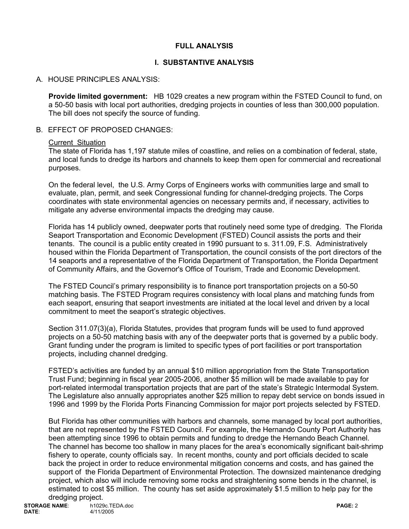### **FULL ANALYSIS**

## **I. SUBSTANTIVE ANALYSIS**

## A. HOUSE PRINCIPLES ANALYSIS:

**Provide limited government:** HB 1029 creates a new program within the FSTED Council to fund, on a 50-50 basis with local port authorities, dredging projects in counties of less than 300,000 population. The bill does not specify the source of funding.

#### B. EFFECT OF PROPOSED CHANGES:

#### Current Situation

The state of Florida has 1,197 statute miles of coastline, and relies on a combination of federal, state, and local funds to dredge its harbors and channels to keep them open for commercial and recreational purposes.

On the federal level, the U.S. Army Corps of Engineers works with communities large and small to evaluate, plan, permit, and seek Congressional funding for channel-dredging projects. The Corps coordinates with state environmental agencies on necessary permits and, if necessary, activities to mitigate any adverse environmental impacts the dredging may cause.

Florida has 14 publicly owned, deepwater ports that routinely need some type of dredging. The Florida Seaport Transportation and Economic Development (FSTED) Council assists the ports and their tenants. The council is a public entity created in 1990 pursuant to s. 311.09, F.S. Administratively housed within the Florida Department of Transportation, the council consists of the port directors of the 14 seaports and a representative of the Florida Department of Transportation, the Florida Department of Community Affairs, and the Governor's Office of Tourism, Trade and Economic Development.

The FSTED Council's primary responsibility is to finance port transportation projects on a 50-50 matching basis. The FSTED Program requires consistency with local plans and matching funds from each seaport, ensuring that seaport investments are initiated at the local level and driven by a local commitment to meet the seaport's strategic objectives.

Section 311.07(3)(a), Florida Statutes, provides that program funds will be used to fund approved projects on a 50-50 matching basis with any of the deepwater ports that is governed by a public body. Grant funding under the program is limited to specific types of port facilities or port transportation projects, including channel dredging.

FSTED's activities are funded by an annual \$10 million appropriation from the State Transportation Trust Fund; beginning in fiscal year 2005-2006, another \$5 million will be made available to pay for port-related intermodal transportation projects that are part of the state's Strategic Intermodal System. The Legislature also annually appropriates another \$25 million to repay debt service on bonds issued in 1996 and 1999 by the Florida Ports Financing Commission for major port projects selected by FSTED.

But Florida has other communities with harbors and channels, some managed by local port authorities, that are not represented by the FSTED Council. For example, the Hernando County Port Authority has been attempting since 1996 to obtain permits and funding to dredge the Hernando Beach Channel. The channel has become too shallow in many places for the area's economically significant bait-shrimp fishery to operate, county officials say. In recent months, county and port officials decided to scale back the project in order to reduce environmental mitigation concerns and costs, and has gained the support of the Florida Department of Environmental Protection. The downsized maintenance dredging project, which also will include removing some rocks and straightening some bends in the channel, is estimated to cost \$5 million. The county has set aside approximately \$1.5 million to help pay for the dredging project.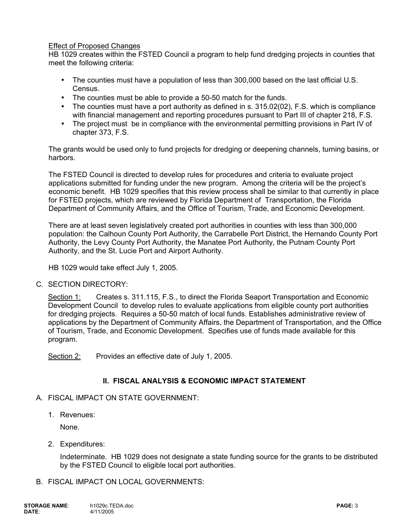#### Effect of Proposed Changes

HB 1029 creates within the FSTED Council a program to help fund dredging projects in counties that meet the following criteria:

- The counties must have a population of less than 300,000 based on the last official U.S. Census.
- The counties must be able to provide a 50-50 match for the funds.
- The counties must have a port authority as defined in s. 315.02(02), F.S. which is compliance with financial management and reporting procedures pursuant to Part III of chapter 218, F.S.
- The project must be in compliance with the environmental permitting provisions in Part IV of chapter 373, F.S.

The grants would be used only to fund projects for dredging or deepening channels, turning basins, or harbors.

The FSTED Council is directed to develop rules for procedures and criteria to evaluate project applications submitted for funding under the new program. Among the criteria will be the project's economic benefit. HB 1029 specifies that this review process shall be similar to that currently in place for FSTED projects, which are reviewed by Florida Department of Transportation, the Florida Department of Community Affairs, and the Office of Tourism, Trade, and Economic Development.

There are at least seven legislatively created port authorities in counties with less than 300,000 population: the Calhoun County Port Authority, the Carrabelle Port District, the Hernando County Port Authority, the Levy County Port Authority, the Manatee Port Authority, the Putnam County Port Authority, and the St. Lucie Port and Airport Authority.

HB 1029 would take effect July 1, 2005.

### C. SECTION DIRECTORY:

Section 1: Creates s. 311.115, F.S., to direct the Florida Seaport Transportation and Economic Development Council to develop rules to evaluate applications from eligible county port authorities for dredging projects. Requires a 50-50 match of local funds. Establishes administrative review of applications by the Department of Community Affairs, the Department of Transportation, and the Office of Tourism, Trade, and Economic Development. Specifies use of funds made available for this program.

Section 2: Provides an effective date of July 1, 2005.

### **II. FISCAL ANALYSIS & ECONOMIC IMPACT STATEMENT**

#### A. FISCAL IMPACT ON STATE GOVERNMENT:

1. Revenues:

None.

2. Expenditures:

Indeterminate. HB 1029 does not designate a state funding source for the grants to be distributed by the FSTED Council to eligible local port authorities.

#### B. FISCAL IMPACT ON LOCAL GOVERNMENTS: